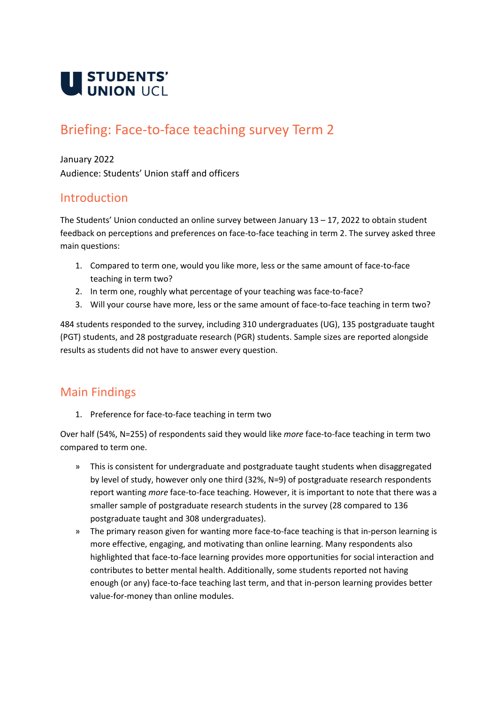

# Briefing: Face-to-face teaching survey Term 2

January 2022

Audience: Students' Union staff and officers

### Introduction

The Students' Union conducted an online survey between January 13 – 17, 2022 to obtain student feedback on perceptions and preferences on face-to-face teaching in term 2. The survey asked three main questions:

- 1. Compared to term one, would you like more, less or the same amount of face-to-face teaching in term two?
- 2. In term one, roughly what percentage of your teaching was face-to-face?
- 3. Will your course have more, less or the same amount of face-to-face teaching in term two?

484 students responded to the survey, including 310 undergraduates (UG), 135 postgraduate taught (PGT) students, and 28 postgraduate research (PGR) students. Sample sizes are reported alongside results as students did not have to answer every question.

## Main Findings

1. Preference for face-to-face teaching in term two

Over half (54%, N=255) of respondents said they would like *more* face-to-face teaching in term two compared to term one.

- » This is consistent for undergraduate and postgraduate taught students when disaggregated by level of study, however only one third (32%, N=9) of postgraduate research respondents report wanting *more* face-to-face teaching. However, it is important to note that there was a smaller sample of postgraduate research students in the survey (28 compared to 136 postgraduate taught and 308 undergraduates).
- » The primary reason given for wanting more face-to-face teaching is that in-person learning is more effective, engaging, and motivating than online learning. Many respondents also highlighted that face-to-face learning provides more opportunities for social interaction and contributes to better mental health. Additionally, some students reported not having enough (or any) face-to-face teaching last term, and that in-person learning provides better value-for-money than online modules.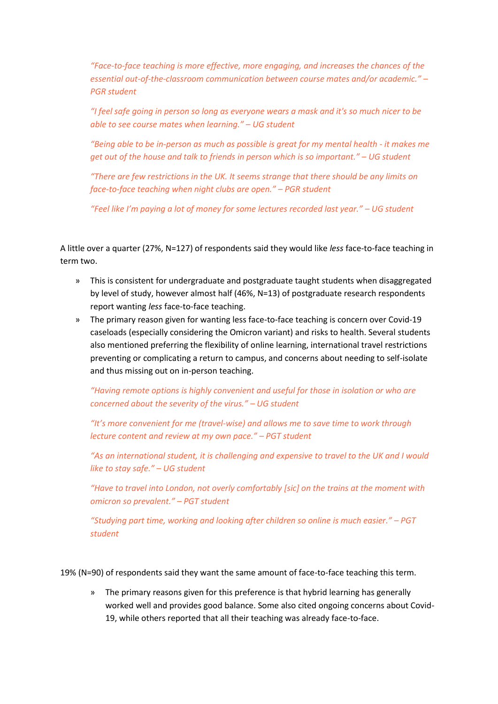*"Face-to-face teaching is more effective, more engaging, and increases the chances of the essential out-of-the-classroom communication between course mates and/or academic." – PGR student*

*"I feel safe going in person so long as everyone wears a mask and it's so much nicer to be able to see course mates when learning." – UG student*

*"Being able to be in-person as much as possible is great for my mental health - it makes me get out of the house and talk to friends in person which is so important." – UG student* 

*"There are few restrictions in the UK. It seems strange that there should be any limits on face-to-face teaching when night clubs are open." – PGR student*

*"Feel like I'm paying a lot of money for some lectures recorded last year." – UG student*

A little over a quarter (27%, N=127) of respondents said they would like *less* face-to-face teaching in term two.

- » This is consistent for undergraduate and postgraduate taught students when disaggregated by level of study, however almost half (46%, N=13) of postgraduate research respondents report wanting *less* face-to-face teaching.
- » The primary reason given for wanting less face-to-face teaching is concern over Covid-19 caseloads (especially considering the Omicron variant) and risks to health. Several students also mentioned preferring the flexibility of online learning, international travel restrictions preventing or complicating a return to campus, and concerns about needing to self-isolate and thus missing out on in-person teaching.

*"Having remote options is highly convenient and useful for those in isolation or who are concerned about the severity of the virus." – UG student*

*"It's more convenient for me (travel-wise) and allows me to save time to work through lecture content and review at my own pace." – PGT student*

*"As an international student, it is challenging and expensive to travel to the UK and I would like to stay safe." – UG student*

*"Have to travel into London, not overly comfortably [sic] on the trains at the moment with omicron so prevalent." – PGT student* 

*"Studying part time, working and looking after children so online is much easier." – PGT student*

19% (N=90) of respondents said they want the same amount of face-to-face teaching this term.

» The primary reasons given for this preference is that hybrid learning has generally worked well and provides good balance. Some also cited ongoing concerns about Covid-19, while others reported that all their teaching was already face-to-face.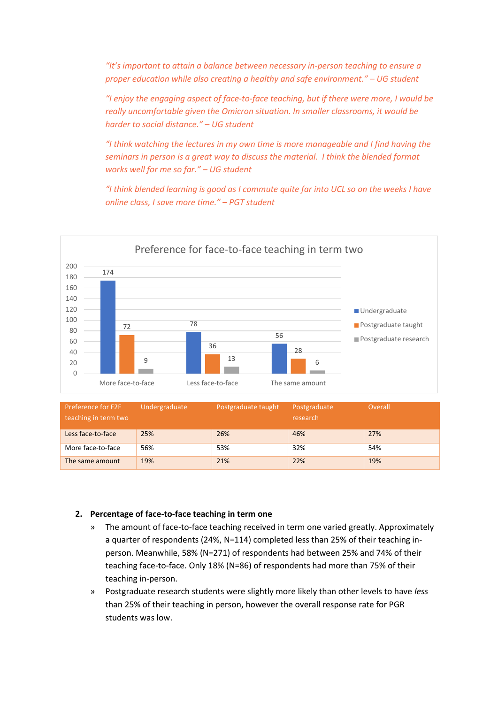*"It's important to attain a balance between necessary in-person teaching to ensure a proper education while also creating a healthy and safe environment." – UG student*

*"I enjoy the engaging aspect of face-to-face teaching, but if there were more, I would be really uncomfortable given the Omicron situation. In smaller classrooms, it would be harder to social distance." – UG student*

*"I think watching the lectures in my own time is more manageable and I find having the seminars in person is a great way to discuss the material. I think the blended format works well for me so far." – UG student*

*"I think blended learning is good as I commute quite far into UCL so on the weeks I have online class, I save more time." – PGT student*



| <b>Preference for F2F</b><br>teaching in term two | Undergraduate | Postgraduate taught | Postgraduate<br>research | Overall |
|---------------------------------------------------|---------------|---------------------|--------------------------|---------|
| Less face-to-face                                 | 25%           | 26%                 | 46%                      | 27%     |
| More face-to-face                                 | 56%           | 53%                 | 32%                      | 54%     |
| The same amount                                   | 19%           | 21%                 | 22%                      | 19%     |

#### **2. Percentage of face-to-face teaching in term one**

- » The amount of face-to-face teaching received in term one varied greatly. Approximately a quarter of respondents (24%, N=114) completed less than 25% of their teaching inperson. Meanwhile, 58% (N=271) of respondents had between 25% and 74% of their teaching face-to-face. Only 18% (N=86) of respondents had more than 75% of their teaching in-person.
- » Postgraduate research students were slightly more likely than other levels to have *less* than 25% of their teaching in person, however the overall response rate for PGR students was low.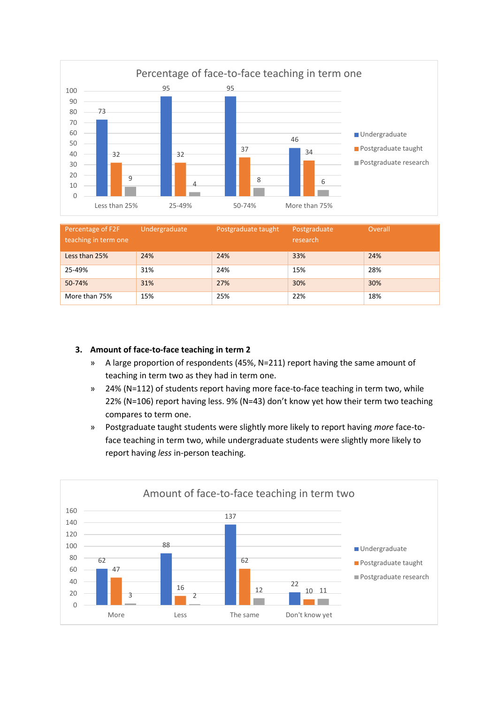

| Percentage of F2F<br>teaching in term one | Undergraduate | Postgraduate taught | Postgraduate<br>research | Overall |
|-------------------------------------------|---------------|---------------------|--------------------------|---------|
| Less than 25%                             | 24%           | 24%                 | 33%                      | 24%     |
| 25-49%                                    | 31%           | 24%                 | 15%                      | 28%     |
| 50-74%                                    | 31%           | 27%                 | 30%                      | 30%     |
| More than 75%                             | 15%           | 25%                 | 22%                      | 18%     |

#### **3. Amount of face-to-face teaching in term 2**

- » A large proportion of respondents (45%, N=211) report having the same amount of teaching in term two as they had in term one.
- » 24% (N=112) of students report having more face-to-face teaching in term two, while 22% (N=106) report having less. 9% (N=43) don't know yet how their term two teaching compares to term one.
- » Postgraduate taught students were slightly more likely to report having *more* face-toface teaching in term two, while undergraduate students were slightly more likely to report having *less* in-person teaching.